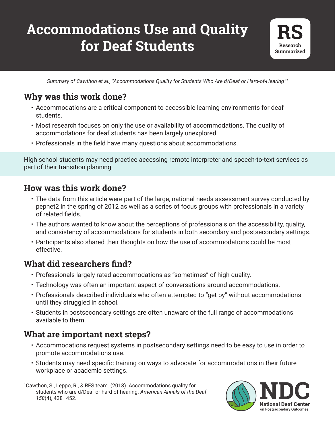# **Accommodations Use and Quality for Deaf Students**



Summary of Cawthon et al., "Accommodations Quality for Students Who Are d/Deaf or Hard-of-Hearing"<sup>1</sup>

# **Why was this work done?**

- Accommodations are a critical component to accessible learning environments for deaf students.
- Most research focuses on only the use or availability of accommodations. The quality of accommodations for deaf students has been largely unexplored.
- Professionals in the field have many questions about accommodations.

High school students may need practice accessing remote interpreter and speech‐to‐text services as part of their transition planning.

# **How was this work done?**

- The data from this article were part of the large, national needs assessment survey conducted by pepnet2 in the spring of 2012 as well as a series of focus groups with professionals in a variety of related fields.
- The authors wanted to know about the perceptions of professionals on the accessibility, quality, and consistency of accommodations for students in both secondary and postsecondary settings.
- Participants also shared their thoughts on how the use of accommodations could be most effective.

### **What did researchers find?**

- Professionals largely rated accommodations as "sometimes" of high quality.
- Technology was often an important aspect of conversations around accommodations.
- Professionals described individuals who often attempted to "get by" without accommodations until they struggled in school.
- Students in postsecondary settings are often unaware of the full range of accommodations available to them.

### **What are important next steps?**

- Accommodations request systems in postsecondary settings need to be easy to use in order to promote accommodations use.
- Students may need specific training on ways to advocate for accommodations in their future workplace or academic settings.

s quality for<br>nnals of the Deaf,<br>**Notal** <sup>1</sup>Cawthon, S., Leppo, R., & RES team. (2013). Accommodations quality for students who are d/Deaf or hard‐of‐hearing. *American Annals of the Deaf*, *158*(4), 438–452.